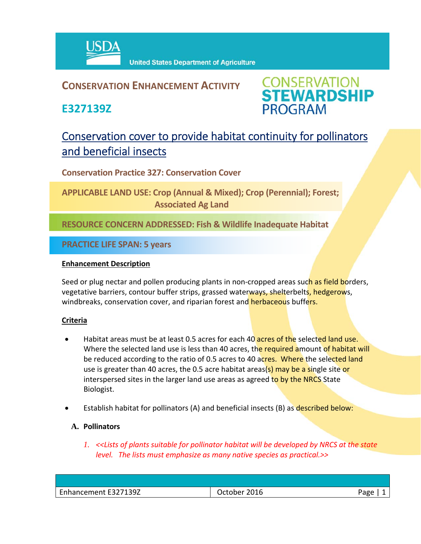

## **CONSERVATION ENHANCEMENT ACTIVITY**

**E327139Z**



# Conservation cover to provide habitat continuity for pollinators and beneficial insects

**Conservation Practice 327: Conservation Cover** 

**APPLICABLE LAND USE: Crop (Annual & Mixed); Crop (Perennial); Forest; Associated Ag Land**

**RESOURCE CONCERN ADDRESSED: Fish & Wildlife Inadequate Habitat**

**PRACTICE LIFE SPAN: 5 years**

### **Enhancement Description**

Seed or plug nectar and pollen producing plants in non-cropped areas such as field borders, vegetative barriers, contour buffer strips, grassed waterways, shelterbelts, hedgerows, windbreaks, conservation cover, and riparian forest and herbaceous buffers.

### **Criteria**

- Habitat areas must be at least 0.5 acres for each 40 acres of the selected land use. Where the selected land use is less than 40 acres, the required amount of habitat will be reduced according to the ratio of 0.5 acres to 40 acres. Where the selected land use is greater than 40 acres, the 0.5 acre habitat areas(s) may be a single site or interspersed sites in the larger land use areas as agreed to by the NRCS State Biologist.
- Establish habitat for pollinators (A) and beneficial insects (B) as described below:

### **A. Pollinators**

*1. <<Lists of plants suitable for pollinator habitat will be developed by NRCS at the state level. The lists must emphasize as many native species as practical.>>*

| - - - -                                                                  |   |
|--------------------------------------------------------------------------|---|
| 27139Z<br>2016<br>Page<br>Jetober<br>Enhancement E327<br>ーーしししい<br>_____ | - |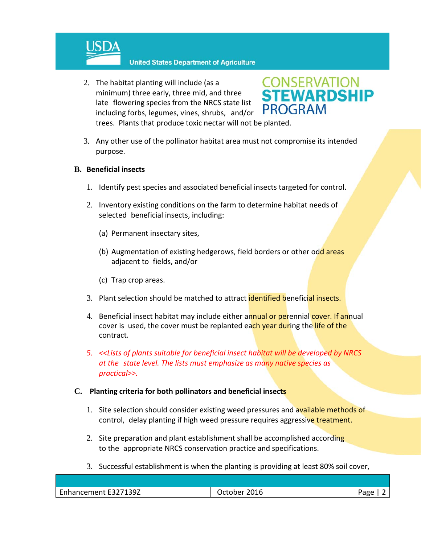

**United States Department of Agriculture** 

2. The habitat planting will include (as a minimum) three early, three mid, and three late flowering species from the NRCS state list including forbs, legumes, vines, shrubs, and/or trees. Plants that produce toxic nectar will not be planted.



3. Any other use of the pollinator habitat area must not compromise its intended purpose.

### **B. Beneficial insects**

- 1. Identify pest species and associated beneficial insects targeted for control.
- 2. Inventory existing conditions on the farm to determine habitat needs of selected beneficial insects, including:
	- (a) Permanent insectary sites,
	- (b) Augmentation of existing hedgerows, field borders or other odd areas adjacent to fields, and/or
	- (c) Trap crop areas.
- 3. Plant selection should be matched to attract **identified beneficial insects.**
- 4. Beneficial insect habitat may include either annual or perennial cover. If annual cover is used, the cover must be replanted each year during the life of the contract.
- *5. <<Lists of plants suitable for beneficial insect habitat will be developed by NRCS at the state level. The lists must emphasize as many native species as practical>>.*

### **C. Planting criteria for both pollinators and beneficial insects**

- 1. Site selection should consider existing weed pressures and available methods of control, delay planting if high weed pressure requires aggressive treatment.
- 2. Site preparation and plant establishment shall be accomplished according to the appropriate NRCS conservation practice and specifications.
- 3. Successful establishment is when the planting is providing at least 80% soil cover,

| <b>CAL</b><br>F3271397<br>hancement F32<br>ᆂᇰᇰᄼ<br>_____<br>_____ | --<br>$-10$<br>____ | חסבי<br>יפש |
|-------------------------------------------------------------------|---------------------|-------------|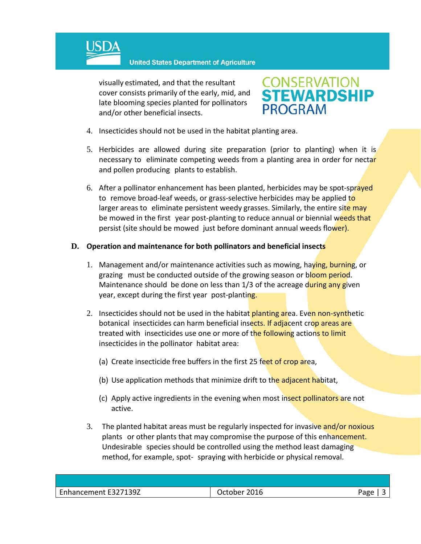

**United States Department of Agriculture** 

visually estimated, and that the resultant cover consists primarily of the early, mid, and late blooming species planted for pollinators and/or other beneficial insects.



- 4. Insecticides should not be used in the habitat planting area.
- 5. Herbicides are allowed during site preparation (prior to planting) when it is necessary to eliminate competing weeds from a planting area in order for nectar and pollen producing plants to establish.
- 6. After a pollinator enhancement has been planted, herbicides may be spot-sprayed to remove broad-leaf weeds, or grass-selective herbicides may be applied to larger areas to eliminate persistent weedy grasses. Similarly, the entire site may be mowed in the first year post-planting to reduce annual or biennial weeds that persist (site should be mowed just before dominant annual weeds flower).

#### **D. Operation and maintenance for both pollinators and beneficial insects**

- 1. Management and/or maintenance activities such as mowing, haying, burning, or grazing must be conducted outside of the growing season or bloom period. Maintenance should be done on less than 1/3 of the acreage during any given year, except during the first year post-planting.
- 2. Insecticides should not be used in the habitat planting area. Even non-synthetic botanical insecticides can harm beneficial insects. If adjacent crop areas are treated with insecticides use one or more of the following actions to limit insecticides in the pollinator habitat area:
	- (a) Create insecticide free buffers in the first 25 feet of crop area,
	- (b) Use application methods that minimize drift to the adjacent habitat,
	- (c) Apply active ingredients in the evening when most insect pollinators are not active.
- 3. The planted habitat areas must be regularly inspected for invasive and/or noxious plants or other plants that may compromise the purpose of this enhancement. Undesirable species should be controlled using the method least damaging method, for example, spot‐ spraying with herbicide or physical removal.

| Enhancement E327139Z | 2016<br>October | Page |
|----------------------|-----------------|------|